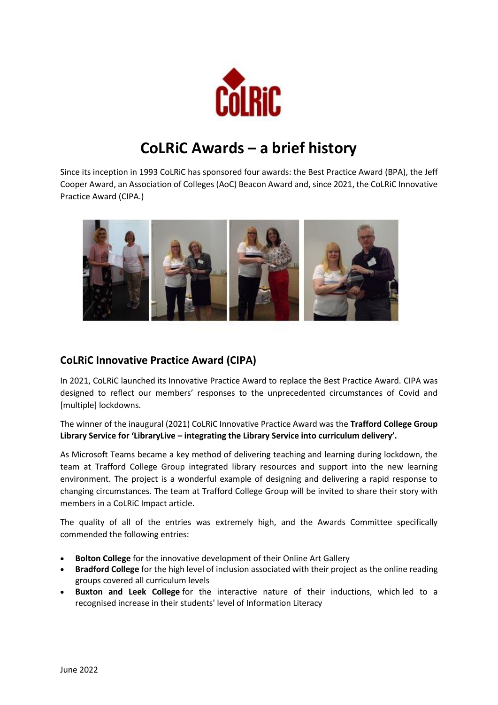

# **CoLRiC Awards – a brief history**

Since its inception in 1993 CoLRiC has sponsored four awards: the Best Practice Award (BPA), the Jeff Cooper Award, an Association of Colleges (AoC) Beacon Award and, since 2021, the CoLRiC Innovative Practice Award (CIPA.)



## **CoLRiC Innovative Practice Award (CIPA)**

In 2021, CoLRiC launched its Innovative Practice Award to replace the Best Practice Award. CIPA was designed to reflect our members' responses to the unprecedented circumstances of Covid and [multiple] lockdowns.

The winner of the inaugural (2021) CoLRiC Innovative Practice Award was the **Trafford College Group Library Service for 'LibraryLive – integrating the Library Service into curriculum delivery'.** 

As Microsoft Teams became a key method of delivering teaching and learning during lockdown, the team at Trafford College Group integrated library resources and support into the new learning environment. The project is a wonderful example of designing and delivering a rapid response to changing circumstances. The team at Trafford College Group will be invited to share their story with members in a CoLRiC Impact article.

The quality of all of the entries was extremely high, and the Awards Committee specifically commended the following entries:

- **Bolton College** for the innovative development of their Online Art Gallery
- **Bradford College** for the high level of inclusion associated with their project as the online reading groups covered all curriculum levels
- **Buxton and Leek College** for the interactive nature of their inductions, which led to a recognised increase in their students' level of Information Literacy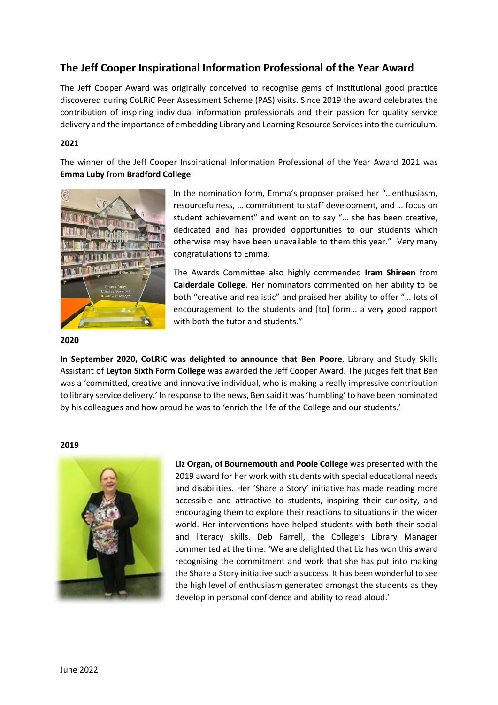## **The Jeff Cooper Inspirational Information Professional of the Year Award**

The Jeff Cooper Award was originally conceived to recognise gems of institutional good practice discovered during CoLRiC Peer Assessment Scheme (PAS) visits. Since 2019 the award celebrates the contribution of inspiring individual information professionals and their passion for quality service delivery and the importance of embedding Library and Learning Resource Services into the curriculum.

#### **2021**

The winner of the Jeff Cooper Inspirational Information Professional of the Year Award 2021 was **Emma Luby** from **Bradford College**.



In the nomination form, Emma's proposer praised her "…enthusiasm, resourcefulness, … commitment to staff development, and … focus on student achievement" and went on to say "… she has been creative, dedicated and has provided opportunities to our students which otherwise may have been unavailable to them this year." Very many congratulations to Emma.

The Awards Committee also highly commended **Iram Shireen** from **Calderdale College**. Her nominators commented on her ability to be both "creative and realistic" and praised her ability to offer "… lots of encouragement to the students and [to] form… a very good rapport with both the tutor and students."

#### **2020**

**In September 2020, CoLRiC was delighted to announce that Ben Poore**, Library and Study Skills Assistant of **Leyton Sixth Form College** was awarded the Jeff Cooper Award. The judges felt that Ben was a 'committed, creative and innovative individual, who is making a really impressive contribution to library service delivery.' In response to the news, Ben said it was 'humbling' to have been nominated by his colleagues and how proud he was to 'enrich the life of the College and our students.'

#### **2019**



**Liz Organ, of Bournemouth and Poole College** was presented with the 2019 award for her work with students with special educational needs and disabilities. Her 'Share a Story' initiative has made reading more accessible and attractive to students, inspiring their curiosity, and encouraging them to explore their reactions to situations in the wider world. Her interventions have helped students with both their social and literacy skills. Deb Farrell, the College's Library Manager commented at the time: 'We are delighted that Liz has won this award recognising the commitment and work that she has put into making the Share a Story initiative such a success. It has been wonderful to see the high level of enthusiasm generated amongst the students as they develop in personal confidence and ability to read aloud.'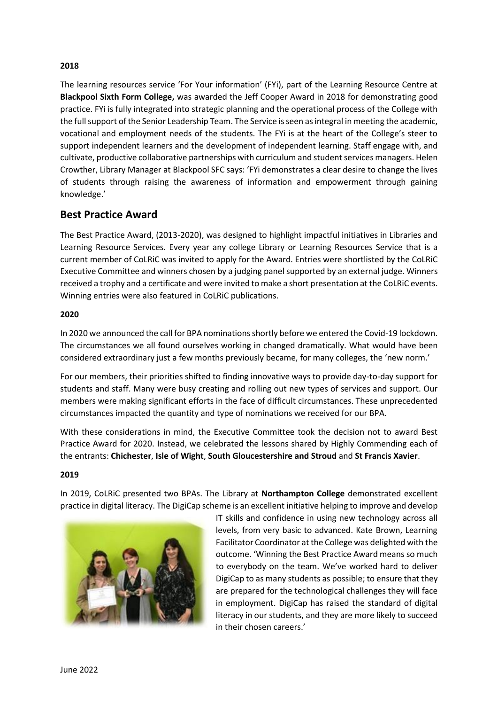### **2018**

The learning resources service 'For Your information' (FYi), part of the Learning Resource Centre at **Blackpool Sixth Form College,** was awarded the Jeff Cooper Award in 2018 for demonstrating good practice. FYi is fully integrated into strategic planning and the operational process of the College with the full support of the Senior Leadership Team. The Service is seen as integral in meeting the academic, vocational and employment needs of the students. The FYi is at the heart of the College's steer to support independent learners and the development of independent learning. Staff engage with, and cultivate, productive collaborative partnerships with curriculum and student services managers. Helen Crowther, Library Manager at Blackpool SFC says: 'FYi demonstrates a clear desire to change the lives of students through raising the awareness of information and empowerment through gaining knowledge.'

## **Best Practice Award**

The Best Practice Award, (2013-2020), was designed to highlight impactful initiatives in Libraries and Learning Resource Services. Every year any college Library or Learning Resources Service that is a current member of CoLRiC was invited to apply for the Award. Entries were shortlisted by the CoLRiC Executive Committee and winners chosen by a judging panel supported by an external judge. Winners received a trophy and a certificate and were invited to make a short presentation at the CoLRiC events. Winning entries were also featured in CoLRiC publications.

#### **2020**

In 2020 we announced the call for BPA nominations shortly before we entered the Covid-19 lockdown. The circumstances we all found ourselves working in changed dramatically. What would have been considered extraordinary just a few months previously became, for many colleges, the 'new norm.'

For our members, their priorities shifted to finding innovative ways to provide day-to-day support for students and staff. Many were busy creating and rolling out new types of services and support. Our members were making significant efforts in the face of difficult circumstances. These unprecedented circumstances impacted the quantity and type of nominations we received for our BPA.

With these considerations in mind, the Executive Committee took the decision not to award Best Practice Award for 2020. Instead, we celebrated the lessons shared by Highly Commending each of the entrants: **Chichester**, **Isle of Wight**, **South Gloucestershire and Stroud** and **St Francis Xavier**.

#### **2019**

In 2019, CoLRiC presented two BPAs. The Library at **Northampton College** demonstrated excellent practice in digital literacy. The DigiCap scheme is an excellent initiative helping to improve and develop



IT skills and confidence in using new technology across all levels, from very basic to advanced. Kate Brown, Learning Facilitator Coordinator at the College was delighted with the outcome. 'Winning the Best Practice Award means so much to everybody on the team. We've worked hard to deliver DigiCap to as many students as possible; to ensure that they are prepared for the technological challenges they will face in employment. DigiCap has raised the standard of digital literacy in our students, and they are more likely to succeed in their chosen careers.'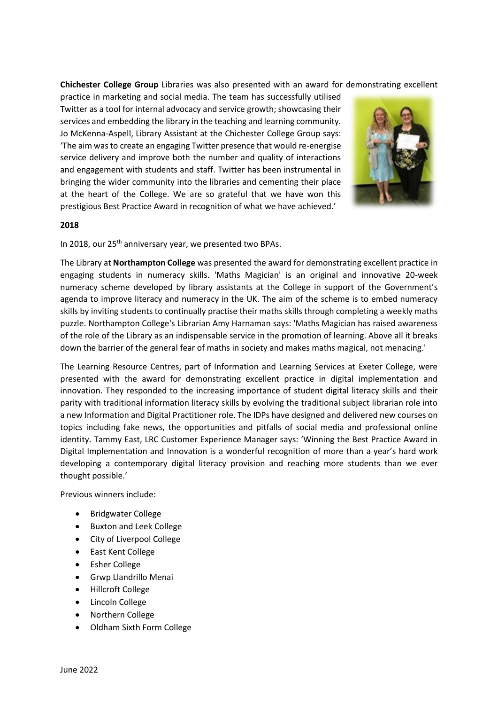**Chichester College Group** Libraries was also presented with an award for demonstrating excellent

practice in marketing and social media. The team has successfully utilised Twitter as a tool for internal advocacy and service growth; showcasing their services and embedding the library in the teaching and learning community. Jo McKenna-Aspell, Library Assistant at the Chichester College Group says: 'The aim was to create an engaging Twitter presence that would re-energise service delivery and improve both the number and quality of interactions and engagement with students and staff. Twitter has been instrumental in bringing the wider community into the libraries and cementing their place at the heart of the College. We are so grateful that we have won this prestigious Best Practice Award in recognition of what we have achieved.'



#### **2018**

In 2018, our 25<sup>th</sup> anniversary year, we presented two BPAs.

The Library at **Northampton College** was presented the award for demonstrating excellent practice in engaging students in numeracy skills. 'Maths Magician' is an original and innovative 20-week numeracy scheme developed by library assistants at the College in support of the Government's agenda to improve literacy and numeracy in the UK. The aim of the scheme is to embed numeracy skills by inviting students to continually practise their maths skills through completing a weekly maths puzzle. Northampton College's Librarian Amy Harnaman says: 'Maths Magician has raised awareness of the role of the Library as an indispensable service in the promotion of learning. Above all it breaks down the barrier of the general fear of maths in society and makes maths magical, not menacing.'

The Learning Resource Centres, part of Information and Learning Services at Exeter College, were presented with the award for demonstrating excellent practice in digital implementation and innovation. They responded to the increasing importance of student digital literacy skills and their parity with traditional information literacy skills by evolving the traditional subject librarian role into a new Information and Digital Practitioner role. The IDPs have designed and delivered new courses on topics including fake news, the opportunities and pitfalls of social media and professional online identity. Tammy East, LRC Customer Experience Manager says: 'Winning the Best Practice Award in Digital Implementation and Innovation is a wonderful recognition of more than a year's hard work developing a contemporary digital literacy provision and reaching more students than we ever thought possible.'

Previous winners include:

- Bridgwater College
- Buxton and Leek College
- City of Liverpool College
- East Kent College
- Esher College
- Grwp Llandrillo Menai
- Hillcroft College
- Lincoln College
- Northern College
- Oldham Sixth Form College